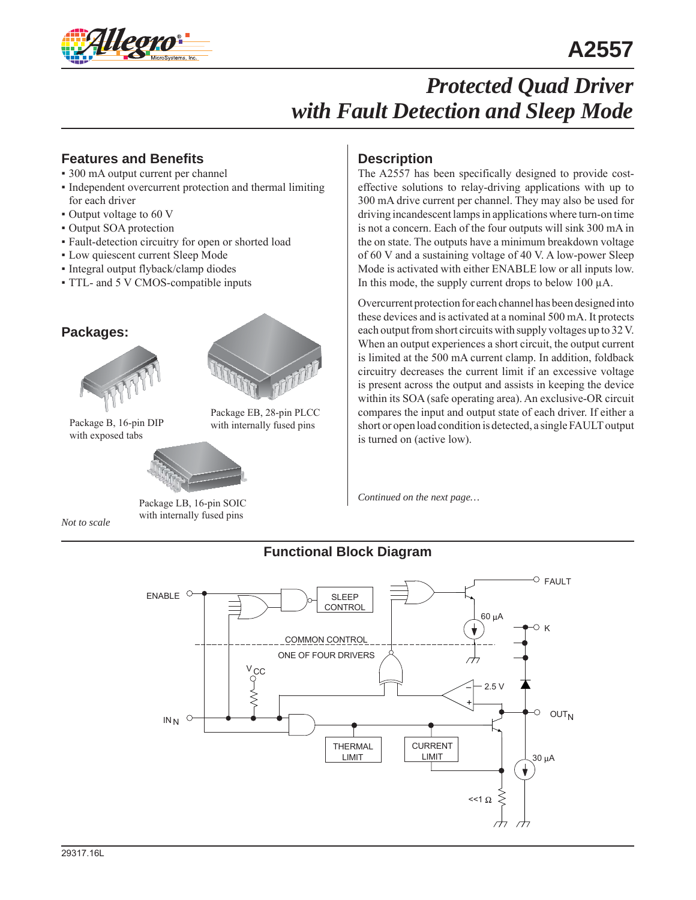

### **Features and Benefits**

- 300 mA output current per channel
- Independent overcurrent protection and thermal limiting for each driver
- Output voltage to 60 V
- Output SOA protection
- Fault-detection circuitry for open or shorted load
- Low quiescent current Sleep Mode
- Integral output flyback/clamp diodes
- TTL- and 5 V CMOS-compatible inputs

### **Packages:**



Package B, 16-pin DIP with internally fused pins with exposed tabs



Package EB, 28-pin PLCC

*Not to scale*

Package LB, 16-pin SOIC with internally fused pins

### **Description**

The A2557 has been specifically designed to provide costeffective solutions to relay-driving applications with up to 300 mA drive current per channel. They may also be used for driving incandescent lamps in applications where turn-on time is not a concern. Each of the four outputs will sink 300 mA in the on state. The outputs have a minimum breakdown voltage of 60 V and a sustaining voltage of 40 V. A low-power Sleep Mode is activated with either ENABLE low or all inputs low. In this mode, the supply current drops to below 100 μA.

Overcurrent protection for each channel has been designed into these devices and is activated at a nominal 500 mA. It protects each output from short circuits with supply voltages up to 32 V. When an output experiences a short circuit, the output current is limited at the 500 mA current clamp. In addition, foldback circuitry decreases the current limit if an excessive voltage is present across the output and assists in keeping the device within its SOA (safe operating area). An exclusive-OR circuit compares the input and output state of each driver. If either a short or open load condition is detected, a single FAULT output is turned on (active low).

*Continued on the next page…*

### **Functional Block Diagram**

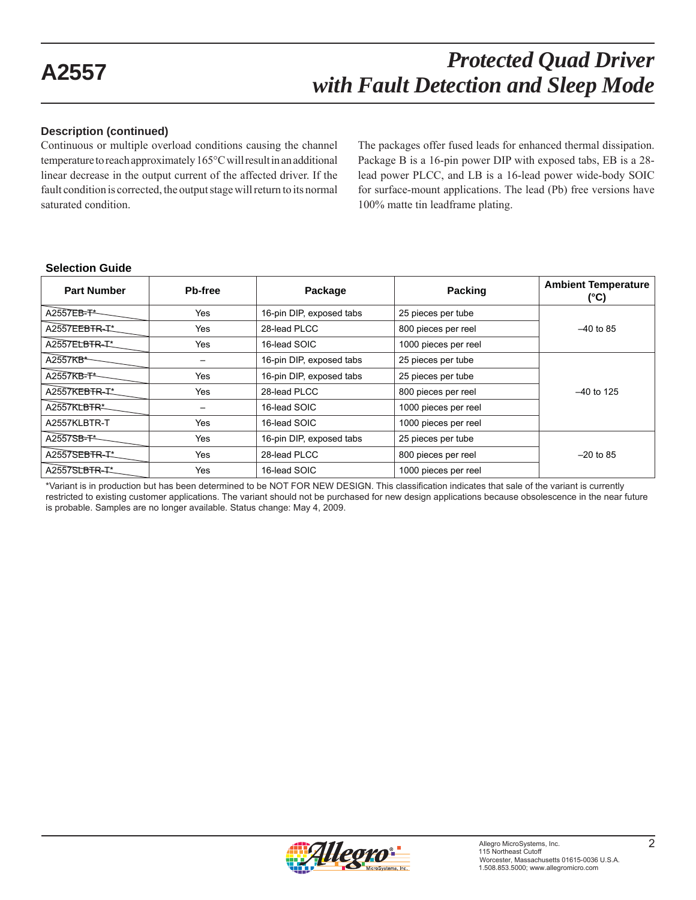#### **Description (continued)**

Continuous or multiple overload conditions causing the channel temperature to reach approximately 165°C will result in an additional linear decrease in the output current of the affected driver. If the fault condition is corrected, the output stage will return to its normal saturated condition.

The packages offer fused leads for enhanced thermal dissipation. Package B is a 16-pin power DIP with exposed tabs, EB is a 28 lead power PLCC, and LB is a 16-lead power wide-body SOIC for surface-mount applications. The lead (Pb) free versions have 100% matte tin leadframe plating.

#### **Selection Guide**

| <b>Part Number</b>   | <b>Pb-free</b> | Package                  | Packing              | <b>Ambient Temperature</b><br>(°C) |
|----------------------|----------------|--------------------------|----------------------|------------------------------------|
| A2557EB-T*           | Yes            | 16-pin DIP, exposed tabs | 25 pieces per tube   |                                    |
| A2557EEBTR-T*        | Yes            | 28-lead PLCC             | 800 pieces per reel  | $-40$ to 85                        |
| A2557ELBTR-T*        | Yes            | 16-lead SOIC             | 1000 pieces per reel |                                    |
| A2557KB <sup>*</sup> |                | 16-pin DIP, exposed tabs | 25 pieces per tube   |                                    |
| A2557KB-T*           | Yes            | 16-pin DIP, exposed tabs | 25 pieces per tube   |                                    |
| A2557KEBTR-T*        | Yes            | 28-lead PLCC             | 800 pieces per reel  | $-40$ to 125                       |
| A2557KLBTR*          |                | 16-lead SOIC             | 1000 pieces per reel |                                    |
| A2557KLBTR-T         | Yes            | 16-lead SOIC             | 1000 pieces per reel |                                    |
| A2557SB-T*           | Yes            | 16-pin DIP, exposed tabs | 25 pieces per tube   |                                    |
| A2557SEBTR-T*        | Yes            | 28-lead PLCC             | 800 pieces per reel  | $-20$ to 85                        |
| A2557SLBTR-T*        | Yes            | 16-lead SOIC             | 1000 pieces per reel |                                    |

\*Variant is in production but has been determined to be NOT FOR NEW DESIGN. This classification indicates that sale of the variant is currently restricted to existing customer applications. The variant should not be purchased for new design applications because obsolescence in the near future is probable. Samples are no longer available. Status change: May 4, 2009.

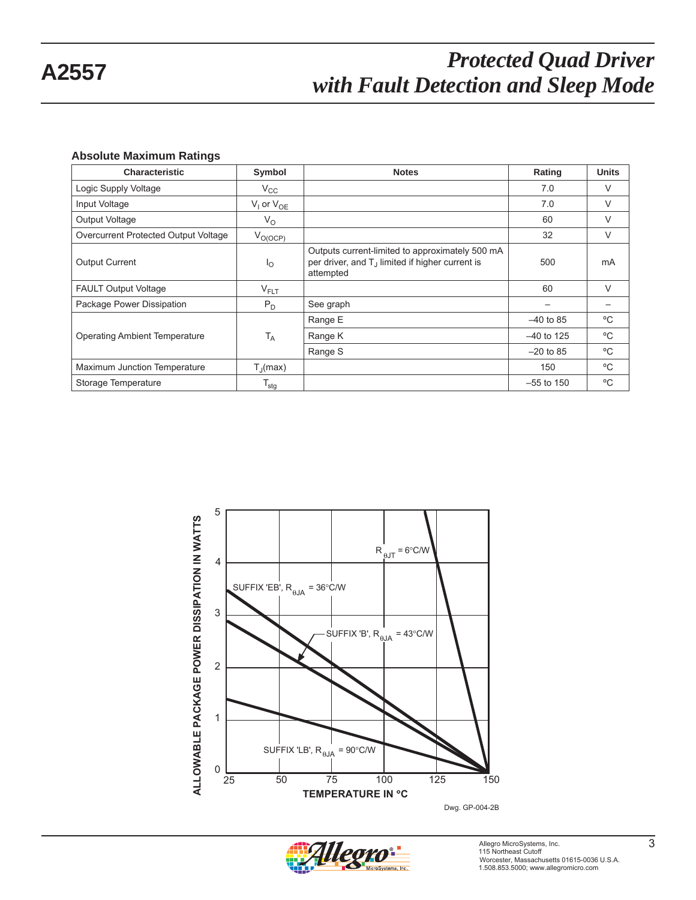#### **Absolute Maximum Ratings**

| <b>Characteristic</b>                | Symbol                | <b>Notes</b>                                                                                                                | Rating       | <b>Units</b> |
|--------------------------------------|-----------------------|-----------------------------------------------------------------------------------------------------------------------------|--------------|--------------|
| Logic Supply Voltage                 | $V_{\rm CC}$          |                                                                                                                             | 7.0          | V            |
| Input Voltage                        | $V_1$ or $V_{OE}$     |                                                                                                                             | 7.0          | V            |
| Output Voltage                       | $V_{\rm O}$           |                                                                                                                             | 60           | V            |
| Overcurrent Protected Output Voltage | $V_{O(OCP)}$          |                                                                                                                             | 32           | V            |
| <b>Output Current</b>                | <sup>1</sup> 0        | Outputs current-limited to approximately 500 mA<br>per driver, and T <sub>J</sub> limited if higher current is<br>attempted | 500          | mA           |
| <b>FAULT Output Voltage</b>          | $V_{FLT}$             |                                                                                                                             | 60           | $\vee$       |
| Package Power Dissipation            | $P_D$                 | See graph                                                                                                                   |              |              |
|                                      |                       | Range E                                                                                                                     | $-40$ to 85  | °C           |
| <b>Operating Ambient Temperature</b> | $T_A$                 | Range K                                                                                                                     | $-40$ to 125 | °C           |
|                                      |                       | Range S                                                                                                                     | $-20$ to 85  | $^{\circ}$ C |
| Maximum Junction Temperature         | $T_{\parallel}$ (max) |                                                                                                                             | 150          | °C           |
| Storage Temperature                  | $T_{\text{stg}}$      |                                                                                                                             | $-55$ to 150 | °C           |



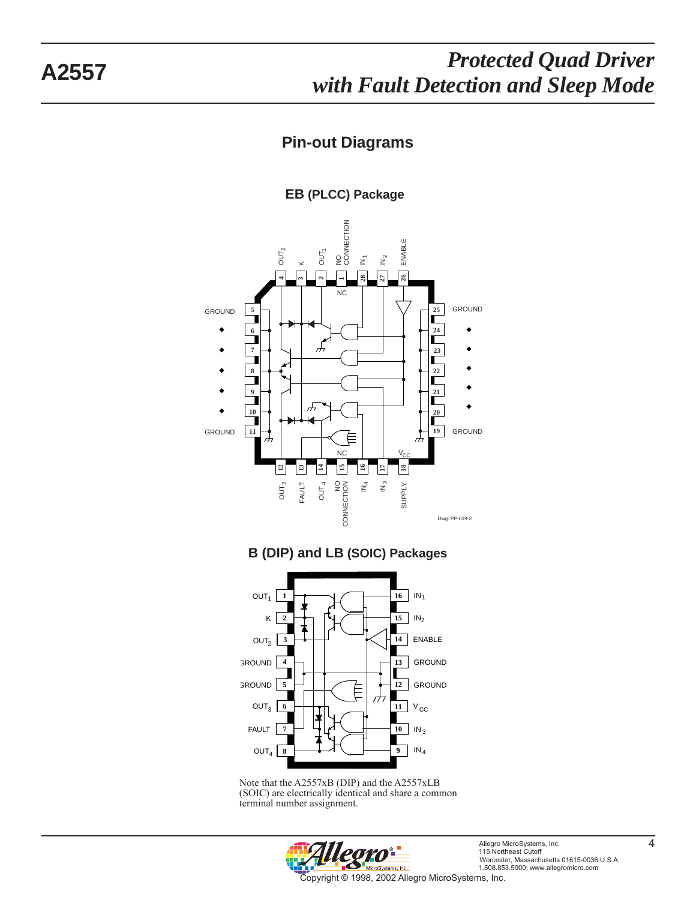### **Pin-out Diagrams**

**EB (PLCC) Package**



### **B (DIP) and LB (SOIC) Packages**



Note that the A2557xB (DIP) and the A2557xLB (SOIC) are electrically identical and share a common terminal number assignment.

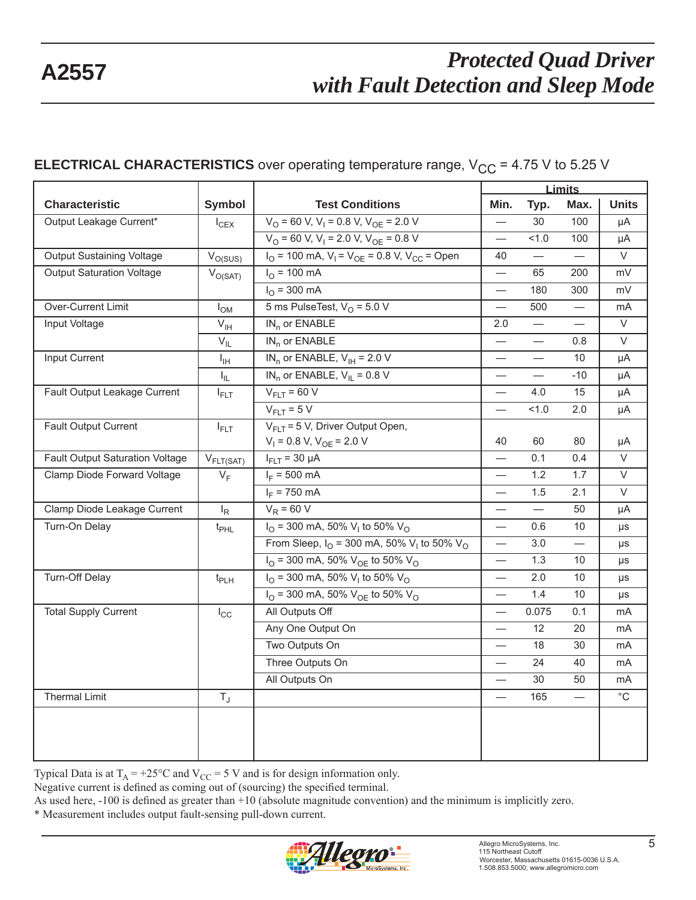### **ELECTRICAL CHARACTERISTICS** over operating temperature range,  $V_{CC}$  = 4.75 V to 5.25 V

|                                        |                       |                                                                                           | <b>Limits</b>                    |                          |                          |                   |
|----------------------------------------|-----------------------|-------------------------------------------------------------------------------------------|----------------------------------|--------------------------|--------------------------|-------------------|
| <b>Characteristic</b>                  | Symbol                | <b>Test Conditions</b>                                                                    | Min.                             | Typ.                     | Max.                     | <b>Units</b>      |
| Output Leakage Current*                | $I_{CEX}$             | $V_O$ = 60 V, V <sub>1</sub> = 0.8 V, V <sub>OF</sub> = 2.0 V                             | $\overline{\phantom{0}}$         | 30                       | 100                      | μA                |
|                                        |                       | $V_{\text{O}}$ = 60 V, V <sub>I</sub> = 2.0 V, V <sub>OE</sub> = 0.8 V                    | $\frac{1}{2}$                    | 1.0                      | 100                      | μA                |
| Output Sustaining Voltage              | $V_{O(SUS)}$          | $I_{\text{O}}$ = 100 mA, $V_{\text{I}}$ = $V_{\text{OE}}$ = 0.8 V, V <sub>CC</sub> = Open | 40                               |                          |                          | $\overline{\vee}$ |
| <b>Output Saturation Voltage</b>       | $V_{O(SAT)}$          | $I_{O}$ = 100 mA                                                                          | $\overline{\phantom{0}}$         | 65                       | 200                      | mV                |
|                                        |                       | $I_{\Omega}$ = 300 mA                                                                     | $\overbrace{\phantom{123331}}$   | 180                      | 300                      | mV                |
| Over-Current Limit                     | $I_{OM}$              | 5 ms PulseTest, $VO$ = 5.0 V<br>500<br>$\overline{\phantom{0}}$                           |                                  |                          | mA                       |                   |
| Input Voltage                          | $V_{\text{IH}}$       | $IN_n$ or $ENABLE$                                                                        | 2.0                              |                          | $\equiv$                 | $\vee$            |
|                                        | $V_{IL}$              | $IN_n$ or $ENABLE$                                                                        |                                  | $\overline{\phantom{0}}$ | 0.8                      | $\vee$            |
| <b>Input Current</b>                   | Iн                    | $IN_n$ or ENABLE, $V_{IH}$ = 2.0 V                                                        |                                  | $\overline{\phantom{0}}$ | 10                       | μA                |
|                                        | $I_{IL}$              | $IN_n$ or ENABLE, $V_{II} = 0.8 V$                                                        |                                  |                          | $-10$                    | μA                |
| Fault Output Leakage Current           | $I_{\text{FLT}}$      | $V_{FIT}$ = 60 V                                                                          |                                  | 4.0                      | 15                       | μA                |
|                                        |                       | $V_{FLT}$ = 5 V                                                                           | $\equiv$                         | 1.0                      | 2.0                      | μA                |
| Fault Output Current                   | $I_{\text{FLT}}$      | $V_{FLT}$ = 5 V, Driver Output Open,<br>$V_1$ = 0.8 V, $V_{OE}$ = 2.0 V                   | 40                               | 60                       | 80                       | μA                |
| <b>Fault Output Saturation Voltage</b> | $V_{\text{FLT(SAT)}}$ | $I_{FLT}$ = 30 $\mu$ A                                                                    |                                  | 0.1                      | 0.4                      | $\overline{\vee}$ |
| Clamp Diode Forward Voltage            | $V_F$                 | $I_F = 500 \text{ mA}$                                                                    | $\overline{\phantom{0}}$         | 1.2                      | 1.7                      | $\vee$            |
|                                        |                       | $I_F = 750$ mA                                                                            | $\overline{\phantom{0}}$         | 1.5                      | 2.1                      | $\overline{\vee}$ |
| Clamp Diode Leakage Current            | $I_R$                 | $V_R$ = 60 V                                                                              |                                  | $\equiv$                 | 50                       | μA                |
| Turn-On Delay                          | $t_{\sf PHL}$         | $I_{\text{O}}$ = 300 mA, 50% V <sub>i</sub> to 50% V <sub>o</sub>                         |                                  | 0.6                      | 10                       | $\mu s$           |
|                                        |                       | From Sleep, $I_{\Omega}$ = 300 mA, 50% V <sub>1</sub> to 50% V <sub>0</sub>               | $\overbrace{\phantom{12322111}}$ | 3.0                      | $\overline{\phantom{0}}$ | μs                |
|                                        |                       | $I_{\text{O}}$ = 300 mA, 50% $V_{\text{OE}}$ to 50% $V_{\text{O}}$                        | $\overbrace{\phantom{12322111}}$ | 1.3                      | 10                       | μs                |
| Turn-Off Delay                         | $t_{PLH}$             | $I_{\Omega}$ = 300 mA, 50% V <sub>1</sub> to 50% V <sub>0</sub>                           | $\overline{\phantom{0}}$         | 2.0                      | 10                       | μs                |
|                                        |                       | $I_{\text{O}}$ = 300 mA, 50% $V_{\text{OE}}$ to 50% $V_{\text{O}}$                        |                                  | 1.4                      | 10                       | $\mu s$           |
| <b>Total Supply Current</b>            | $I_{\rm CC}$          | All Outputs Off                                                                           |                                  | 0.075                    | 0.1                      | mA                |
|                                        |                       | Any One Output On                                                                         | $\overbrace{\phantom{12322111}}$ | 12                       | 20                       | mA                |
|                                        |                       | Two Outputs On                                                                            | $\overbrace{\phantom{12322111}}$ | 18                       | 30                       | mA                |
|                                        |                       | Three Outputs On                                                                          | $\overline{\phantom{0}}$         | 24                       | 40                       | mA                |
|                                        |                       | All Outputs On                                                                            | $\equiv$                         | 30                       | 50                       | mA                |
| <b>Thermal Limit</b>                   | $T_{\rm J}$           |                                                                                           |                                  | 165                      |                          | $\overline{C}$    |
|                                        |                       |                                                                                           |                                  |                          |                          |                   |

Typical Data is at  $T_A = +25\degree C$  and  $V_{CC} = 5$  V and is for design information only.

Negative current is defined as coming out of (sourcing) the specified terminal.

As used here,  $-100$  is defined as greater than  $+10$  (absolute magnitude convention) and the minimum is implicitly zero.

\* Measurement includes output fault-sensing pull-down current.

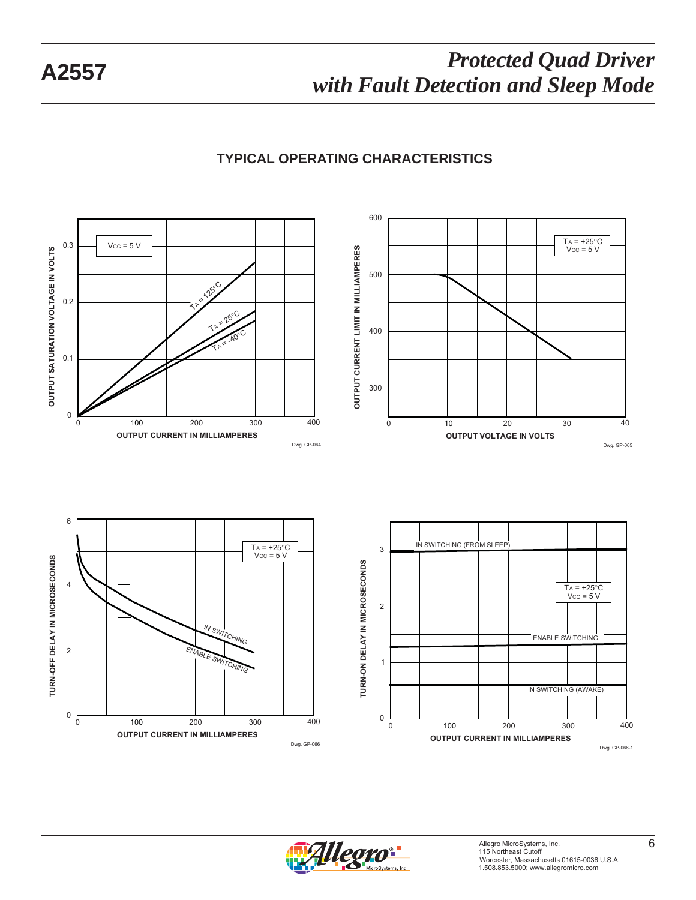### **TYPICAL OPERATING CHARACTERISTICS**



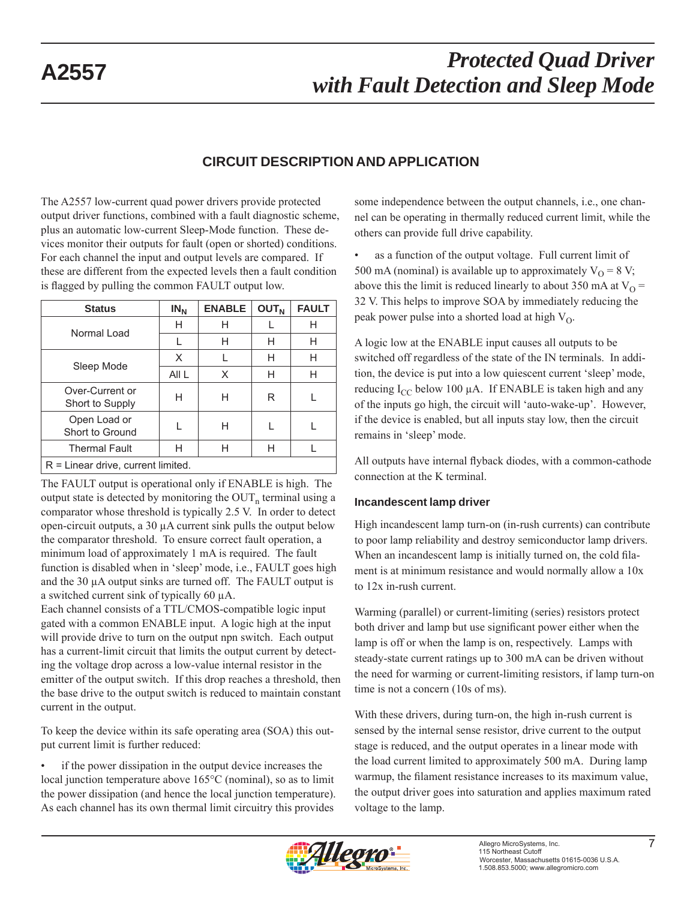### **CIRCUIT DESCRIPTION AND APPLICATION**

The A2557 low-current quad power drivers provide protected output driver functions, combined with a fault diagnostic scheme, plus an automatic low-current Sleep-Mode function. These devices monitor their outputs for fault (open or shorted) conditions. For each channel the input and output levels are compared. If these are different from the expected levels then a fault condition is flagged by pulling the common FAULT output low.

| <b>Status</b>                        | $IN_N$ | <b>ENABLE</b> | <b>OUT<sub>N</sub></b> | <b>FAULT</b> |
|--------------------------------------|--------|---------------|------------------------|--------------|
| Normal Load                          | н      | н             |                        | Н            |
|                                      |        | н             | н                      | Н            |
|                                      | X      |               | Н                      | Н            |
| Sleep Mode                           | All L  | X             | Н                      | Н            |
| Over-Current or<br>Short to Supply   | н      | н             | R                      |              |
| Open Load or<br>Short to Ground      |        | н             |                        |              |
| <b>Thermal Fault</b>                 | н      | н             | н                      |              |
| $R =$ Linear drive, current limited. |        |               |                        |              |

The FAULT output is operational only if ENABLE is high. The output state is detected by monitoring the  $OUT<sub>n</sub>$  terminal using a comparator whose threshold is typically 2.5 V. In order to detect open-circuit outputs, a 30 μA current sink pulls the output below the comparator threshold. To ensure correct fault operation, a minimum load of approximately 1 mA is required. The fault function is disabled when in 'sleep' mode, i.e., FAULT goes high and the 30 μA output sinks are turned off. The FAULT output is a switched current sink of typically 60 μA.

Each channel consists of a TTL/CMOS-compatible logic input gated with a common ENABLE input. A logic high at the input will provide drive to turn on the output npn switch. Each output has a current-limit circuit that limits the output current by detecting the voltage drop across a low-value internal resistor in the emitter of the output switch. If this drop reaches a threshold, then the base drive to the output switch is reduced to maintain constant current in the output.

To keep the device within its safe operating area (SOA) this output current limit is further reduced:

if the power dissipation in the output device increases the local junction temperature above 165°C (nominal), so as to limit the power dissipation (and hence the local junction temperature). As each channel has its own thermal limit circuitry this provides

some independence between the output channels, i.e., one channel can be operating in thermally reduced current limit, while the others can provide full drive capability.

as a function of the output voltage. Full current limit of 500 mA (nominal) is available up to approximately  $V_{\Omega} = 8 V$ ; above this the limit is reduced linearly to about 350 mA at  $V<sub>O</sub>$  = 32 V. This helps to improve SOA by immediately reducing the peak power pulse into a shorted load at high  $V_O$ .

A logic low at the ENABLE input causes all outputs to be switched off regardless of the state of the IN terminals. In addition, the device is put into a low quiescent current 'sleep' mode, reducing  $I_{CC}$  below 100 μA. If ENABLE is taken high and any of the inputs go high, the circuit will 'auto-wake-up'. However, if the device is enabled, but all inputs stay low, then the circuit remains in 'sleep' mode.

All outputs have internal flyback diodes, with a common-cathode connection at the K terminal.

#### **Incandescent lamp driver**

High incandescent lamp turn-on (in-rush currents) can contribute to poor lamp reliability and destroy semiconductor lamp drivers. When an incandescent lamp is initially turned on, the cold filament is at minimum resistance and would normally allow a 10x to 12x in-rush current.

Warming (parallel) or current-limiting (series) resistors protect both driver and lamp but use significant power either when the lamp is off or when the lamp is on, respectively. Lamps with steady-state current ratings up to 300 mA can be driven without the need for warming or current-limiting resistors, if lamp turn-on time is not a concern (10s of ms).

With these drivers, during turn-on, the high in-rush current is sensed by the internal sense resistor, drive current to the output stage is reduced, and the output operates in a linear mode with the load current limited to approximately 500 mA. During lamp warmup, the filament resistance increases to its maximum value, the output driver goes into saturation and applies maximum rated voltage to the lamp.

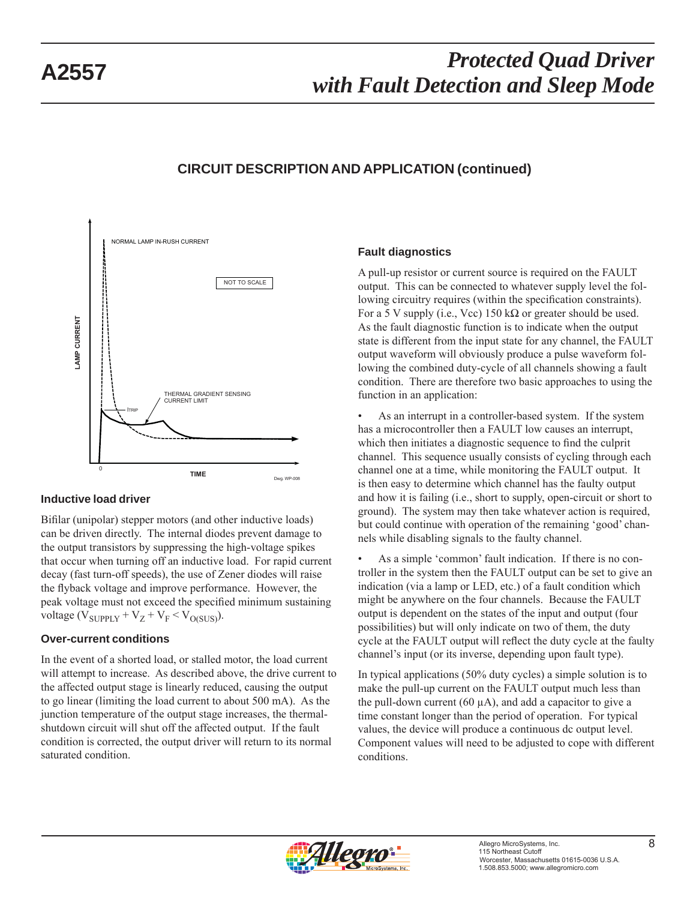### **CIRCUIT DESCRIPTION AND APPLICATION (continued)**



#### **Inductive load driver**

Bifilar (unipolar) stepper motors (and other inductive loads) can be driven directly. The internal diodes prevent damage to the output transistors by suppressing the high-voltage spikes that occur when turning off an inductive load. For rapid current decay (fast turn-off speeds), the use of Zener diodes will raise the flyback voltage and improve performance. However, the peak voltage must not exceed the specified minimum sustaining voltage ( $V_{\text{SUPPLY}} + V_Z + V_F < V_{O(SUS)}$ ).

#### **Over-current conditions**

In the event of a shorted load, or stalled motor, the load current will attempt to increase. As described above, the drive current to the affected output stage is linearly reduced, causing the output to go linear (limiting the load current to about 500 mA). As the junction temperature of the output stage increases, the thermalshutdown circuit will shut off the affected output. If the fault condition is corrected, the output driver will return to its normal saturated condition.

#### **Fault diagnostics**

A pull-up resistor or current source is required on the FAULT output. This can be connected to whatever supply level the following circuitry requires (within the specification constraints). For a 5 V supply (i.e., Vcc) 150 k $\Omega$  or greater should be used. As the fault diagnostic function is to indicate when the output state is different from the input state for any channel, the FAULT output waveform will obviously produce a pulse waveform following the combined duty-cycle of all channels showing a fault condition. There are therefore two basic approaches to using the function in an application:

• As an interrupt in a controller-based system. If the system has a microcontroller then a FAULT low causes an interrupt, which then initiates a diagnostic sequence to find the culprit channel. This sequence usually consists of cycling through each channel one at a time, while monitoring the FAULT output. It is then easy to determine which channel has the faulty output and how it is failing (i.e., short to supply, open-circuit or short to ground). The system may then take whatever action is required, but could continue with operation of the remaining 'good' channels while disabling signals to the faulty channel.

• As a simple 'common' fault indication. If there is no controller in the system then the FAULT output can be set to give an indication (via a lamp or LED, etc.) of a fault condition which might be anywhere on the four channels. Because the FAULT output is dependent on the states of the input and output (four possibilities) but will only indicate on two of them, the duty cycle at the FAULT output will reflect the duty cycle at the faulty channel's input (or its inverse, depending upon fault type).

In typical applications (50% duty cycles) a simple solution is to make the pull-up current on the FAULT output much less than the pull-down current  $(60 \mu A)$ , and add a capacitor to give a time constant longer than the period of operation. For typical values, the device will produce a continuous dc output level. Component values will need to be adjusted to cope with different conditions.

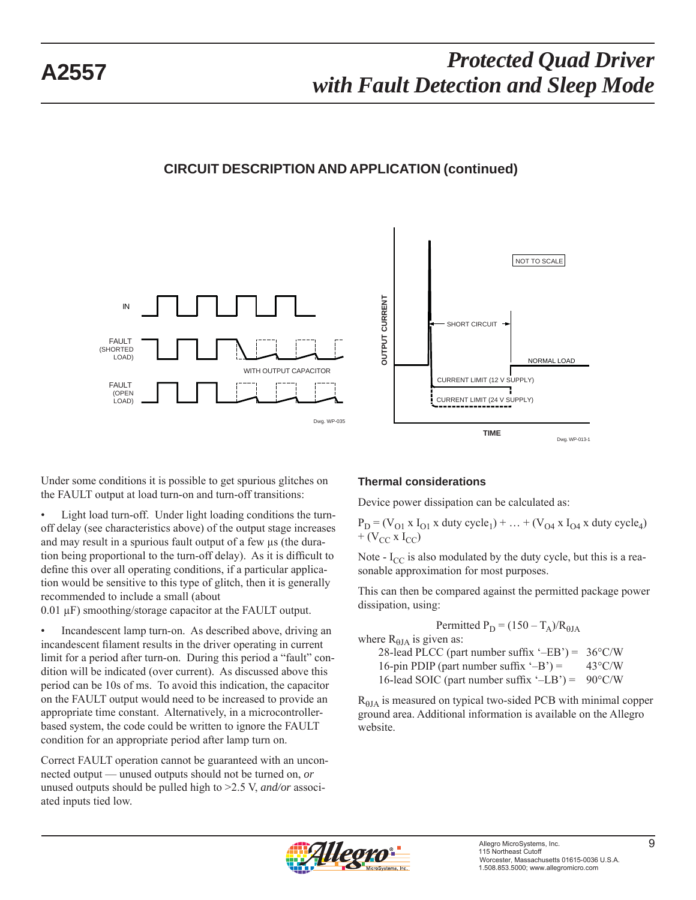### **CIRCUIT DESCRIPTION AND APPLICATION (continued)**





Under some conditions it is possible to get spurious glitches on the FAULT output at load turn-on and turn-off transitions:

Light load turn-off. Under light loading conditions the turnoff delay (see characteristics above) of the output stage increases and may result in a spurious fault output of a few μs (the duration being proportional to the turn-off delay). As it is difficult to define this over all operating conditions, if a particular application would be sensitive to this type of glitch, then it is generally recommended to include a small (about

0.01 μF) smoothing/storage capacitor at the FAULT output.

• Incandescent lamp turn-on. As described above, driving an incandescent filament results in the driver operating in current limit for a period after turn-on. During this period a "fault" condition will be indicated (over current). As discussed above this period can be 10s of ms. To avoid this indication, the capacitor on the FAULT output would need to be increased to provide an appropriate time constant. Alternatively, in a microcontrollerbased system, the code could be written to ignore the FAULT condition for an appropriate period after lamp turn on.

Correct FAULT operation cannot be guaranteed with an unconnected output — unused outputs should not be turned on, *or* unused outputs should be pulled high to >2.5 V, *and/or* associated inputs tied low.

#### **Thermal considerations**

Device power dissipation can be calculated as:

 $P_D = (V_{O1} \times I_{O1} \times duty cycle_1) + ... + (V_{O4} \times I_{O4} \times duty cycle_4)$  $+$  (V<sub>CC</sub> x I<sub>CC</sub>)

Note -  $I_{CC}$  is also modulated by the duty cycle, but this is a reasonable approximation for most purposes.

This can then be compared against the permitted package power dissipation, using:

Permitted  $P_D = (150 - T_A)/R_{AIA}$ where  $R_{\theta I A}$  is given as: 28-lead PLCC (part number suffix  $-EB'$ ) = 36°C/W 16-pin PDIP (part number suffix  $\div$ B') = 43°C/W 16-lead SOIC (part number suffix  $-LB'$ ) = 90 $\degree$ C/W

 $R<sub>AIA</sub>$  is measured on typical two-sided PCB with minimal copper ground area. Additional information is available on the Allegro website.

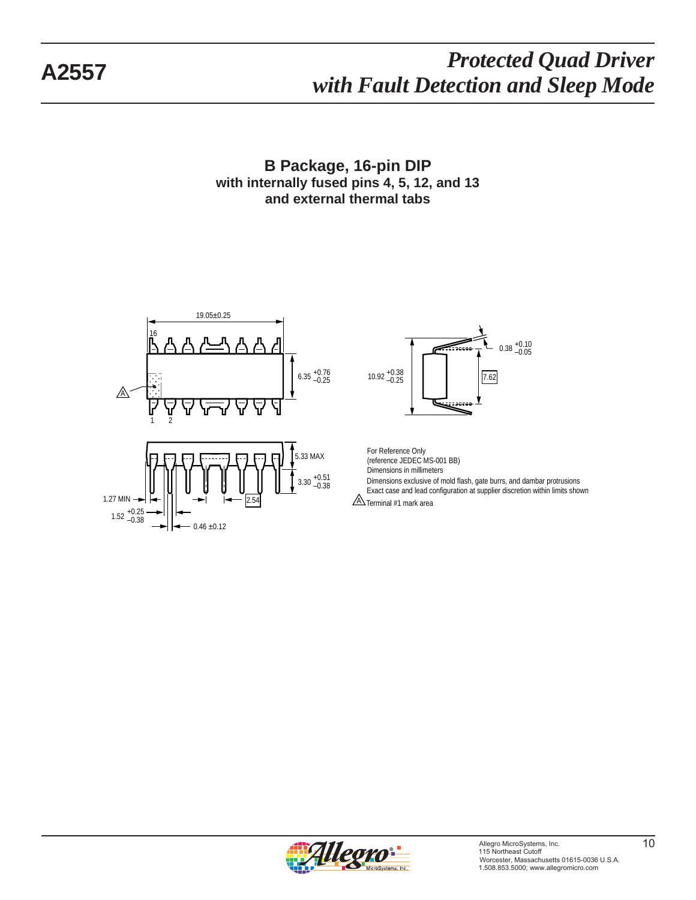**B Package, 16-pin DIP with internally fused pins 4, 5, 12, and 13 and external thermal tabs**





Dimensions exclusive of mold flash, gate burrs, and dambar protrusions Exact case and lead configuration at supplier discretion within limits shown For Reference Only (reference JEDEC MS-001 BB) Dimensions in millimeters

 $A$  Terminal #1 mark area

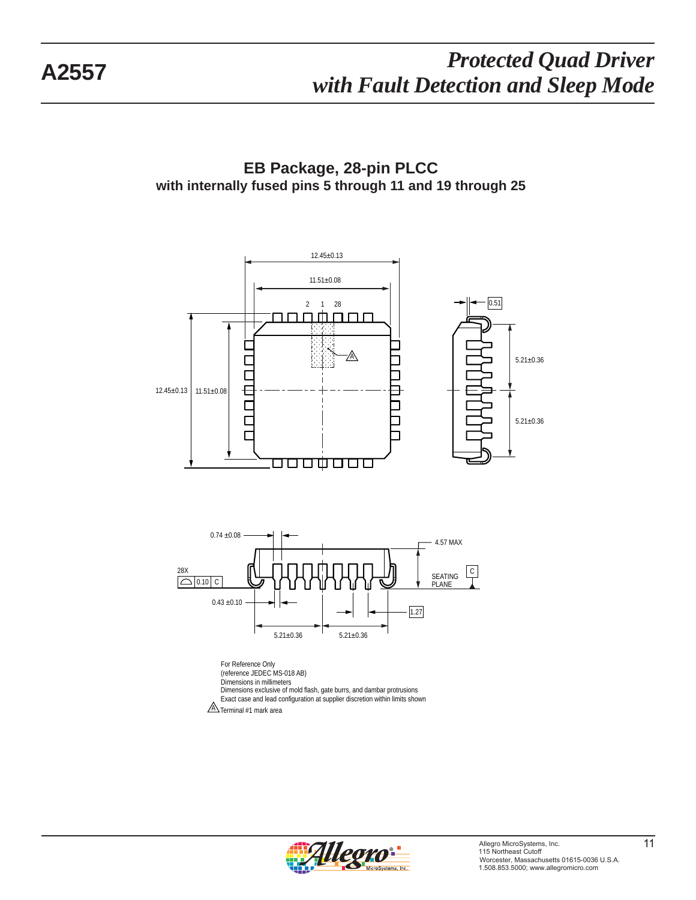**EB Package, 28-pin PLCC with internally fused pins 5 through 11 and 19 through 25**